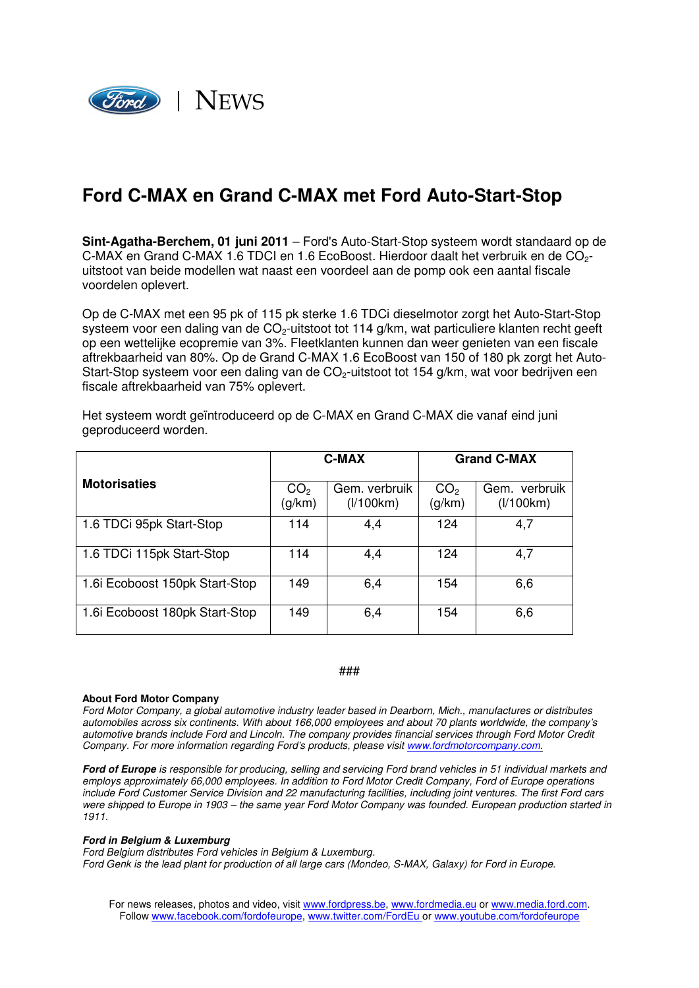

## **Ford C-MAX en Grand C-MAX met Ford Auto-Start-Stop**

**Sint-Agatha-Berchem, 01 juni 2011** – Ford's Auto-Start-Stop systeem wordt standaard op de C-MAX en Grand C-MAX 1.6 TDCI en 1.6 EcoBoost. Hierdoor daalt het verbruik en de CO2 uitstoot van beide modellen wat naast een voordeel aan de pomp ook een aantal fiscale voordelen oplevert.

Op de C-MAX met een 95 pk of 115 pk sterke 1.6 TDCi dieselmotor zorgt het Auto-Start-Stop systeem voor een daling van de  $CO<sub>2</sub>$ -uitstoot tot 114 g/km, wat particuliere klanten recht geeft op een wettelijke ecopremie van 3%. Fleetklanten kunnen dan weer genieten van een fiscale aftrekbaarheid van 80%. Op de Grand C-MAX 1.6 EcoBoost van 150 of 180 pk zorgt het Auto-Start-Stop systeem voor een daling van de  $CO<sub>2</sub>$ -uitstoot tot 154 g/km, wat voor bedrijven een fiscale aftrekbaarheid van 75% oplevert.

Het systeem wordt geïntroduceerd op de C-MAX en Grand C-MAX die vanaf eind juni geproduceerd worden.

|                               | <b>C-MAX</b>              |                            | <b>Grand C-MAX</b>        |                            |
|-------------------------------|---------------------------|----------------------------|---------------------------|----------------------------|
| <b>Motorisaties</b>           | CO <sub>2</sub><br>(g/km) | Gem. verbruik<br>(1/100km) | CO <sub>2</sub><br>(g/km) | Gem. verbruik<br>(1/100km) |
| 1.6 TDCi 95pk Start-Stop      | 114                       | 4,4                        | 124                       | 4,7                        |
| 1.6 TDCi 115pk Start-Stop     | 114                       | 4,4                        | 124                       | 4,7                        |
| 1.6 Ecoboost 150pk Start-Stop | 149                       | 6,4                        | 154                       | 6,6                        |
| 1.6 Ecoboost 180pk Start-Stop | 149                       | 6,4                        | 154                       | 6,6                        |

## ###

## **About Ford Motor Company**

Ford Motor Company, a global automotive industry leader based in Dearborn, Mich., manufactures or distributes automobiles across six continents. With about 166,000 employees and about 70 plants worldwide, the company's automotive brands include Ford and Lincoln. The company provides financial services through Ford Motor Credit Company. For more information regarding Ford's products, please visit www.fordmotorcompany.com.

**Ford of Europe** is responsible for producing, selling and servicing Ford brand vehicles in 51 individual markets and employs approximately 66,000 employees. In addition to Ford Motor Credit Company, Ford of Europe operations include Ford Customer Service Division and 22 manufacturing facilities, including joint ventures. The first Ford cars were shipped to Europe in 1903 – the same year Ford Motor Company was founded. European production started in 1911.

## **Ford in Belgium & Luxemburg**

Ford Belgium distributes Ford vehicles in Belgium & Luxemburg.

Ford Genk is the lead plant for production of all large cars (Mondeo, S-MAX, Galaxy) for Ford in Europe.

For news releases, photos and video, visit www.fordpress.be, www.fordmedia.eu or www.media.ford.com. Follow www.facebook.com/fordofeurope, www.twitter.com/FordEu or www.youtube.com/fordofeurope